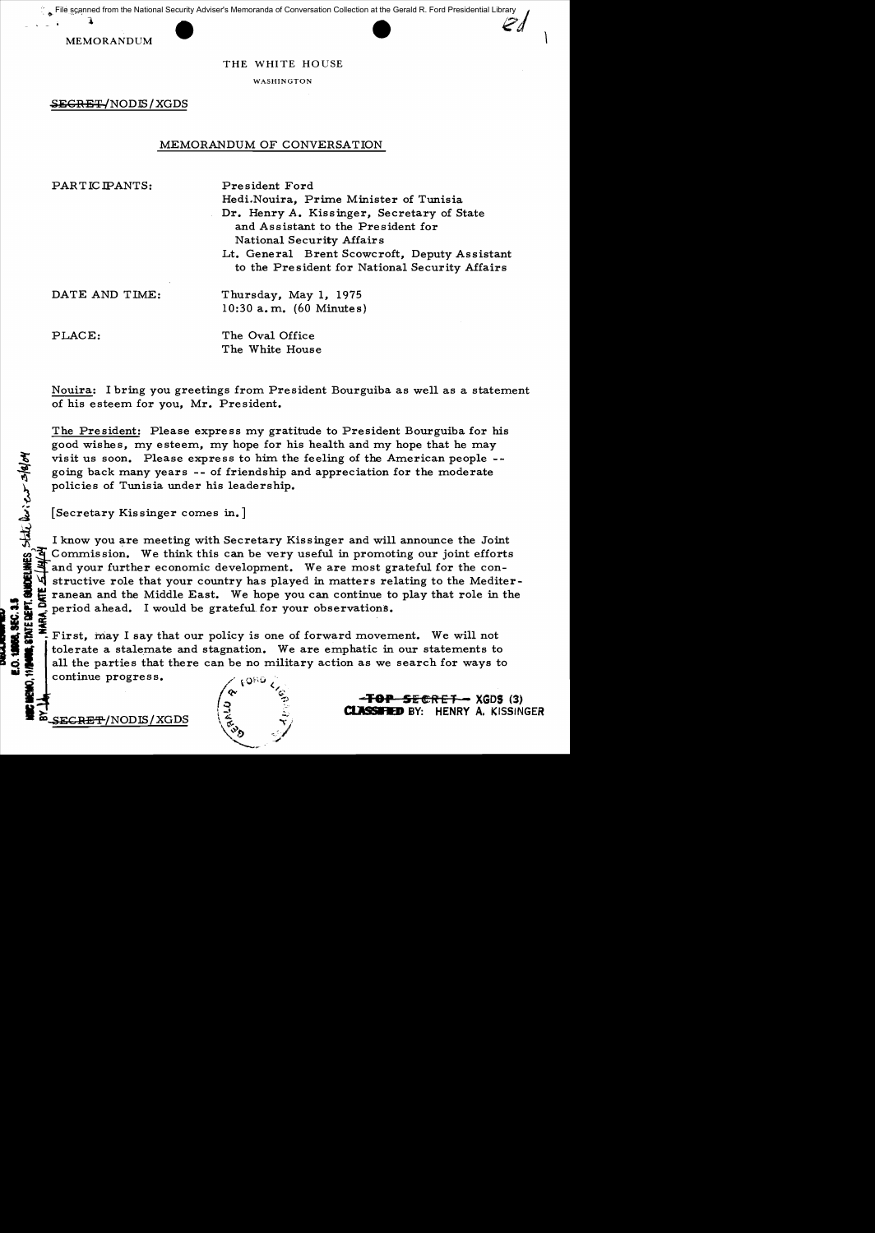$\cdot$   $\cdot$   $\cdot$   $\cdot$ File scanned from the National Security Adviser's Memoranda of Conversation Collection at the Gerald R. Ford Presidential Library



THE WHITE HOUSE

WASHINGTON

 $SEGREF/NODIS/XGDS$ 

# MEMORANDUM OF CONVERSATION

PARTICIPANTS: President Ford

Hedi.Nouira. Prime Minister of Tunisia Dr. Henry A. Kissinger, Secretary of State and Assistant to the President for National Security Affairs Lt. General Brent Scowcroft, Deputy Assistant to the President for National Security Affairs

DATE AND TIME: Thursday, May 1, 1975 10:30 a. m. (60 Minutes)

PLACE: The Oval Office The White House

Nouira: I bring you greetings from President Bourguiba as well as a statement of his esteem for you, Mr. President.

The President: Please express my gratitude to President Bourguiba for his good wishes, my esteem, my hope for his health and my hope that he may visit us soon. Please express to him the feeling of the American people -going back many years -- of friendship and appreciation for the moderate policies of Tunisia under his leadership.

The visit us soon. Please express to going back many years -- of frie policies of Tunisia under his leads [Secretary Kissinger comes in.]<br>
[Secretary Kissinger comes in.]<br>
I know you are meeting with Secretary and your fur l I know you are meeting with Secretary Kissinger and will announce the Joint Commission. We think this can be very useful in promoting our joint efforts I and your further economic development. We are most grateful for the constructive role that your country has played in matters relating to the Mediter-<br>ranean and the Middle East. We hope you can continue to play that role in the<br>period ahead. I would be grateful for your observations. ranean and the Middle East. We hope you can continue to play that role in the

First, may I say that our policy is one of forward movement. We will not tolerate a stalemate and stagnation. We are emphatic in our statements to all the parties that there can be no military action as we search for ways to  $\begin{pmatrix} 0 & 0 & 0 \\ 0 & 0 & 0 \\ 0 & 0 & 0 \end{pmatrix}$  **TOP SECRET-** XGDS (3)

E.O. 1886, SEC. 1.5



**ample and Secret - XGDS (3)**<br>SECRET-INODIS/XGDS (3)<br>SECRET-INODIS/XGDS (4)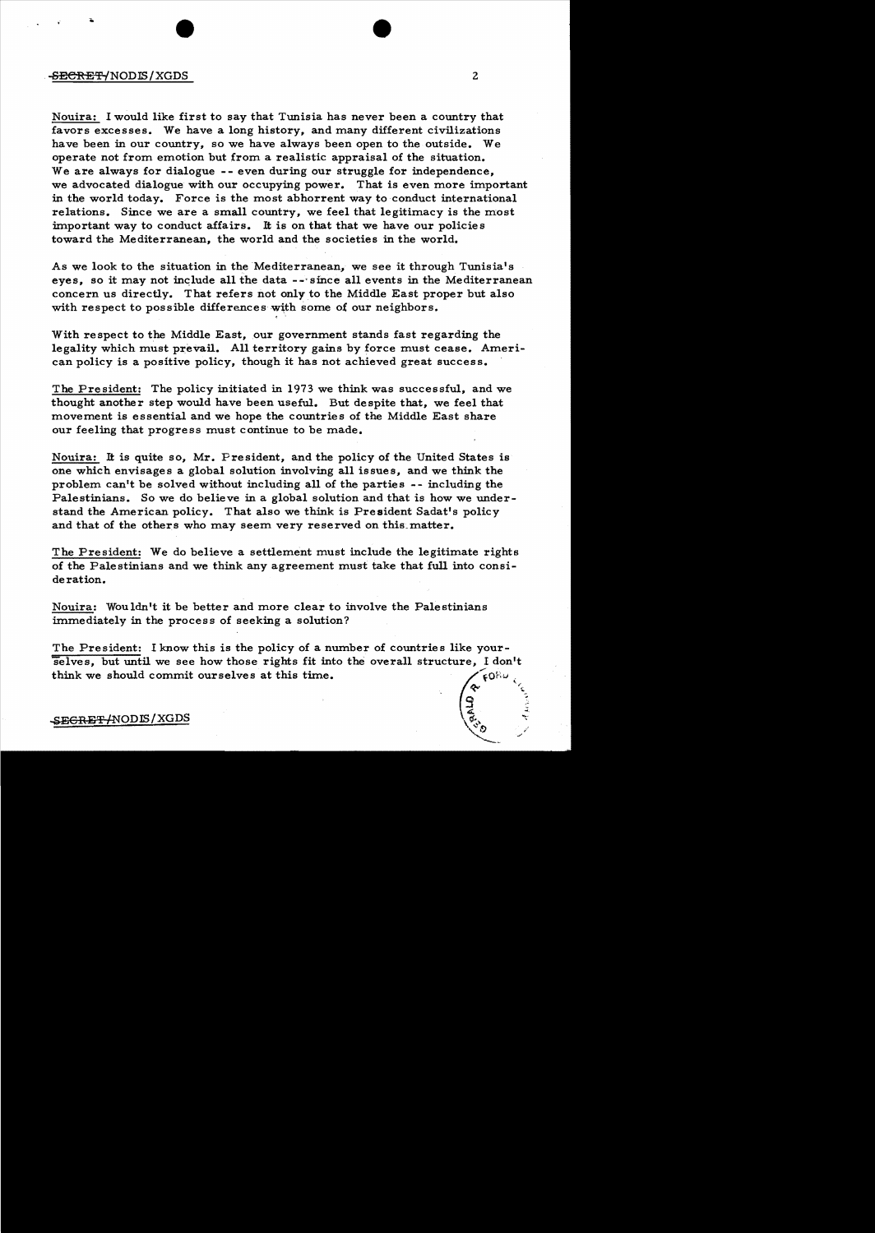## -SECRET-{NODIS/XGDS 2

.

Nouira: I would like first to say that Tunisia has never been a country that favors excesses. We have a long history, and many different civilizations have been in our country, so we have always been open to the outside. We operate not from emotion but from a realistic appraisal of the situation. We are always for dialogue **--** even during our struggle for independence, we advocated dialogue with our occupying power. That is even more important in the world today. Force is the most abhorrent way to conduct international relations. Since we are a small country, we feel that legitimacy is the most important way to conduct affairs. It is on that that we have our policies toward the Mediterranean, the world and the societies in the world.

As we look to the situation in the Mediterranean, we see it through Tunisia's eyes, so it may not include all the data --'since all events in the Mediterranean concern us directly. That refers not only to the Middle East proper but also with respect to possible differences with some of our neighbors.

With respect to the Middle East, our government stands fast regarding the legality which must prevail. All territory gains by force must cease. American policy is a positive policy, though it has not achieved great success.

The President: The policy initiated in 1973 we think was successful, and we thought another step would have been useful. But despite that, we feel that movement is essential and we hope the countries of the Middle East share our feeling that progress must continue to be made.

Nouira: It is quite so, Mr. President, and the policy of the United States is one which envisages a global solution involving all issues, and we think the problem can't be solved without including all of the parties -- including the Palestinians. So we do believe in a global solution and that is how we under stand the American policy. That also we think is President Sadat's policy and that of the others who may seem very reserved on this matter.

The President: We do believe a settlement must include the legitimate rights of the Palestinians and we think any agreement must take that full into consideration.

Nouira: Wouldn't it be better and more clear to involve the Palestinians immediately in the process of seeking a solution?

The President: I know this is the policy of a number of countries like yourselves, but until we see how those rights fit into the overall structure, I don't think we should commit ourselves at this time. FORU

# SE<del>GRET/</del>NODIS/XGDS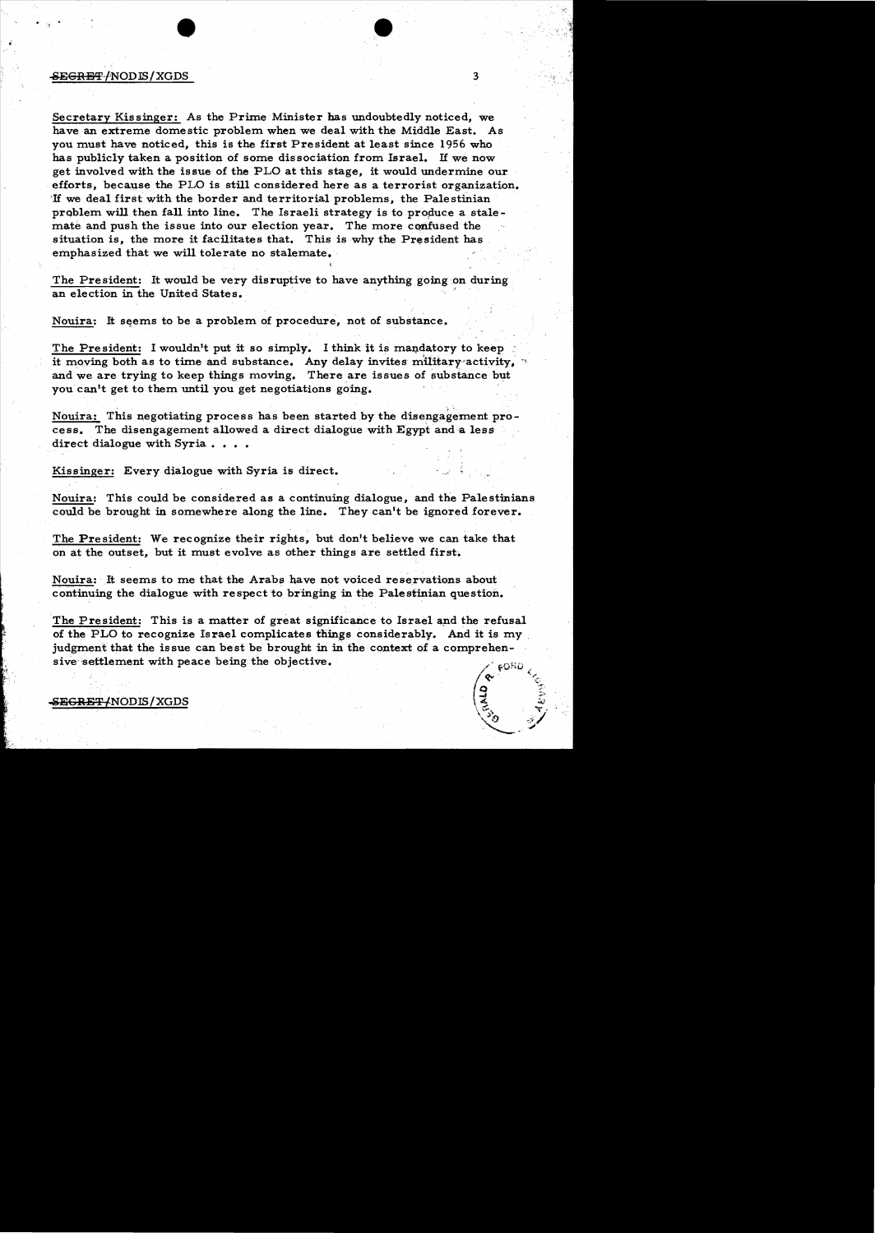#### $-$ <del>SEGRET</del>/NODIS/XGDS 3

Secretary Kissinger: As the Prime Minister has undoubtedly noticed, we have an extreme domestic problem when we deal with the Middle East. As you must have noticed, this is the first President at least since 1956 who has publicly taken a position of some dissociation from Israel. If we now get involved with the issue of the PLO at this stage, it would undermine our efforts, because the PLO is still considered here as a terrorist organization. 'If we deal first with the border and territorial problems, the Palestinian problem will then fall into line. The Israeli strategy is to produce a stalemate and push the issue into our election year. The more confused the situation is, the more it facilitates that. This is why the President has emphasized that we will tolerate no stalemate.

 $\bullet$ 

The President: It would be very disruptive to have anything going on during an election in the United States. '

Nouira: It seems to be a problem of procedure, not of substance.

The President: I wouldn't put it so simply. I think it is mandatory to keep. it moving both as to time and substance. Any delay invites military activity. and we are trying to keep things moving. There are issues of substance but you can't get to them until you get negotiations going.

Nouira: This negotiating process has been started by the disengagement process. The disengagement allowed a direct dialogue with Egypt and a less direct dialogue with Syria  $\ldots$ .

, ,

Kissinger: Every dialogue with Syria is direct.

Nouira: This could be considered as a continuing dialogue, and the Palestinians could be brought in somewhere along the line. They can't be ignored forever.

The President: We recognize their rights, but don't believe we can take that on at the outset, but it must evolve as other things are settled first.

Nouira: It seems to me that the Arabs have not voiced reservations about continuing the dialogue with respect to bringing in the Palestinian question.

The President: This is a matter of great significance to Israel and the refusal of the PLO to recognize Israel complicates things considerably. And it is my judgment that the issue can best be brought in in the context of a comprehen sive settlement with peace being the objective.

SE<del>GRET/</del>NODIS/XGDS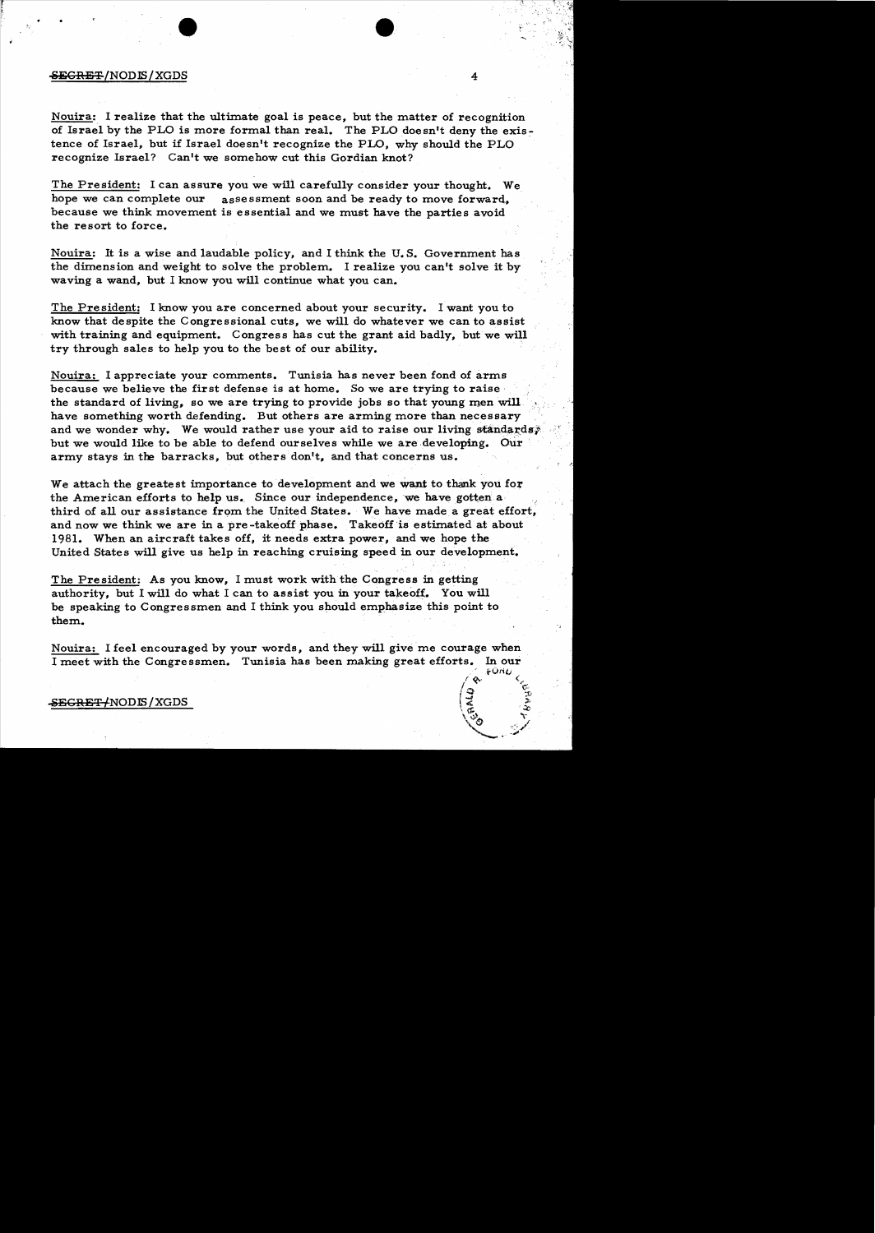#### $\overline{\text{SEGREF}}$ /NODIS/XGDS 4

Nouira:. I realize that the ultimate goal is peace, but the matter of recognition of Israel by the PLO is more formal than real. The PLO doesn't deny the exis: tence of Israel, but if Israel doesn't recognize the PLO, why should the PLO recognize Israel? Can't we somehow cut this Gordian knot?

The President: I can assure you we will carefully consider your thought. We hope we can complete our assessment soon and be ready to move forward, because we think movement is essential and we must have the parties avoid the resort to force.

Nouira: It is a wise and laudable policy, and I think the U. S. Government has the dimension and weight to solve the problem. I realize you can't solve it by waving a wand, but I know you will continue what you can.

The President: I know you are concerned about your security. I want you to know that despite the Congressional cuts, we will do whatever we can to assist with training and equipment. Congress has cut the grant aid badly, but we will try through sales to help you to the best of our ability.

Nouira: I appreciate your comments. Tunisia has never been fond of arms because we believe the first defense is at home. So we are trying to raise· the standard of living, so we are trying to provide jobs so that young men will have something worth defending. But others are arming more than necessary and we wonder why. We would rather use your aid to raise our living standards; but we would like to be able to defend ourselves while we are developing. Our army stays in the barracks, but others don't, and that concerns us.

We attach the greatest importance to development and we want to thank you for the American efforts to help us. Since our independence, we have gotten a third of all our assistance from the United States. We have made a great effort, and now we think we are in a pre -takeoff phase. Takeofiis estimated at about 1981. When an aircraft takes off, it needs extra power, and we hope the United States will give us help in reaching cruising speed in our development.

The President: As you know, I must work with the Congress in getting authority, but I will do what I can to assist you in your takeoff. You will be speaking to Congressmen and I think you should emphasize this point to them.

Nouira: I feel encouraged by your words, and they will give me courage when I meet with the Congressmen. Tunisia has been making great efforts. In our  $\approx$   $\frac{1}{2}$ .

 $\ell\ll 1$  $\sqrt{2}$  c: I :::r :tJ

 $\sqrt{2}$   $\sqrt{2}$  $\sim$   $\sim$ 

## <del>SEGRET/</del>NODIS/XGDS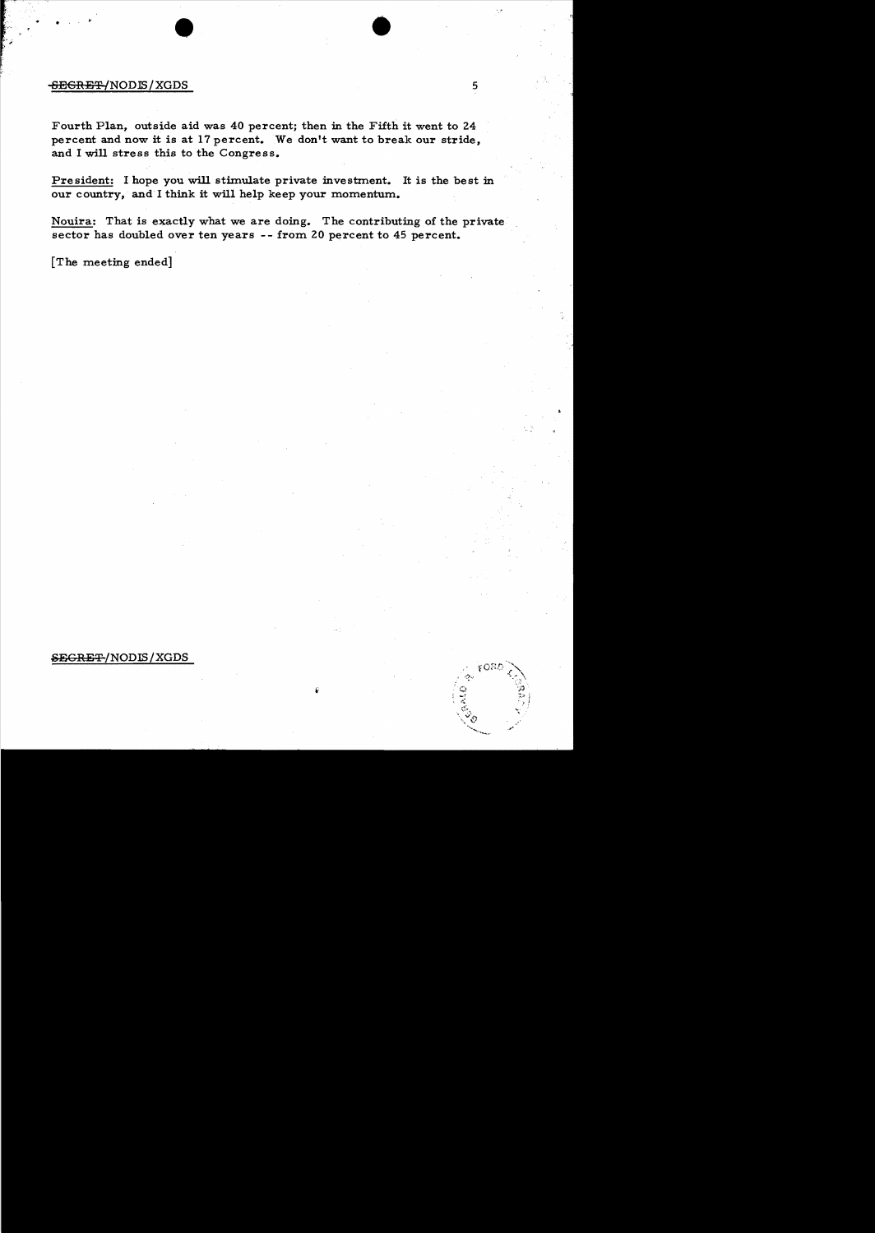# $-$ <del>SECRET/</del>NOD**IS**/XGDS 5

Fourth Plan, outside aid was 40 percent; then in the Fifth it went to 24 percent and now it is at 17 percent. We don't want to break our stride, and I will stress this to the Congress.

 $\bullet$  ,  $\bullet$  ,  $\bullet$  ,  $\bullet$ 

President: I hope you will stimulate private investment. It is the best in our country, and I think it will help keep your momentum.

Nouira: That is exactly what we are doing. The contributing of the private sector has doubled over ten years -- from 20 percent to 45 percent.

[The meeting ended]

## SEGRET/NODIS/XGDS

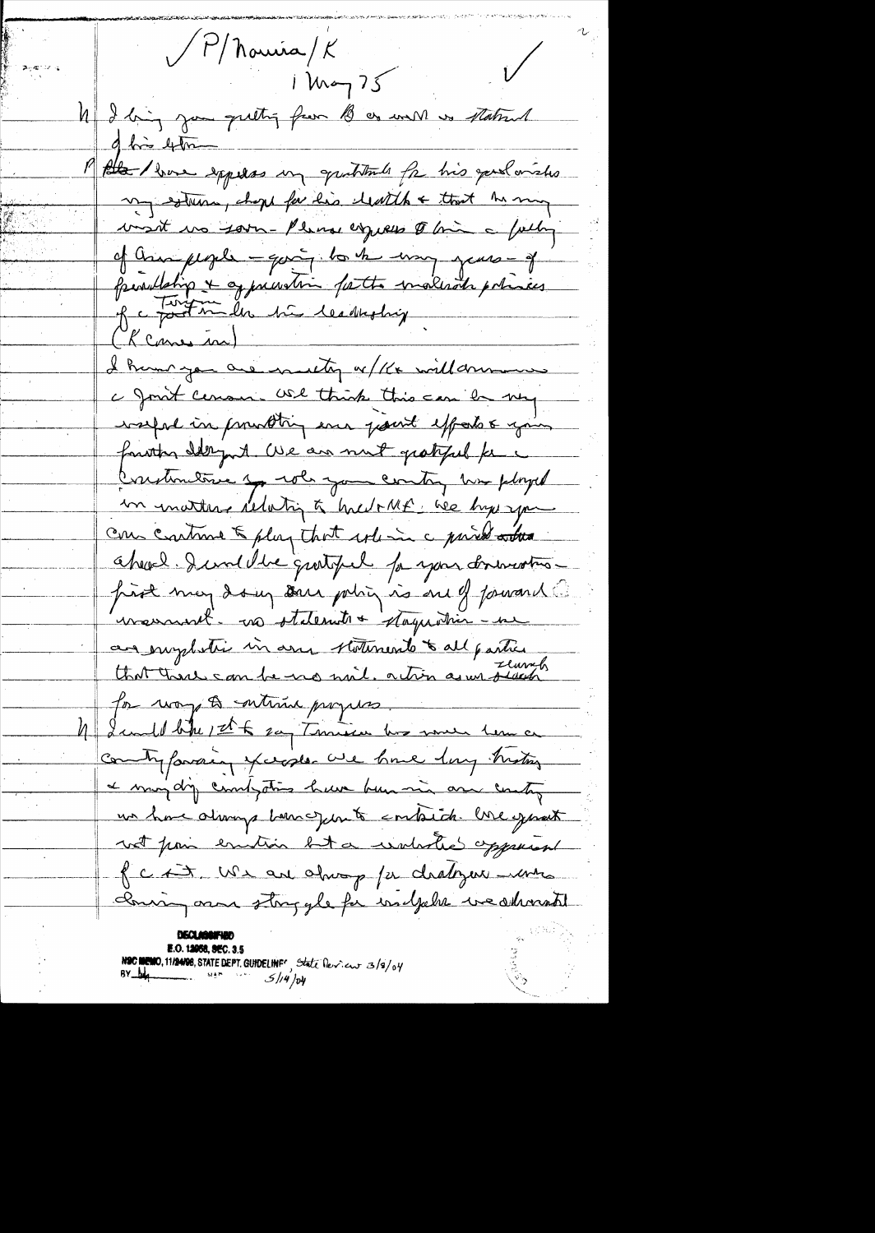$\sqrt{P/\hbar}$ onica/ $K$  $i$  knop  $75$ 4 I big jou quetti from B or will is statent of his 4m the love experses in quitients for his good orishs my estima, chope for his leath & that he my visit vo soon-Please expects to bin a fally of ann people - qui, to be my years - of perulation & appreciation for the materials policies. Re Fort miles på leadething Kcane in) I hum you are muiting w/12x will driven a Joint census USA think this can be very washed in promoting en growt effects & your further Ist July 1. We are not get feel for a Crestimative by who you contry him played in inatter relation à hier MF. We hyperpare com continue & play that where a part atten chevel. I will be quetyed for your driver two prot may do up some policy is one of forward conservant. no otdernate + stagardin - une an emploier in any statements to all parties for way to entime propers I could like 1 th 2 any Threaten how much hem a comity favoring years are have long motors a may dy comptor have been min are contry un have alarrys barre junto embido. One exprest not poin emition but a univolve opposer fc it we are always for chalogue more coming and story gle for walkels we showed **E.O. 12058, SEC. 3.5** 

NSC MEMO, 11/24/28, STATE DEPT. GUIDELINF<sup>C</sup>, State Dev. eur 3/3/04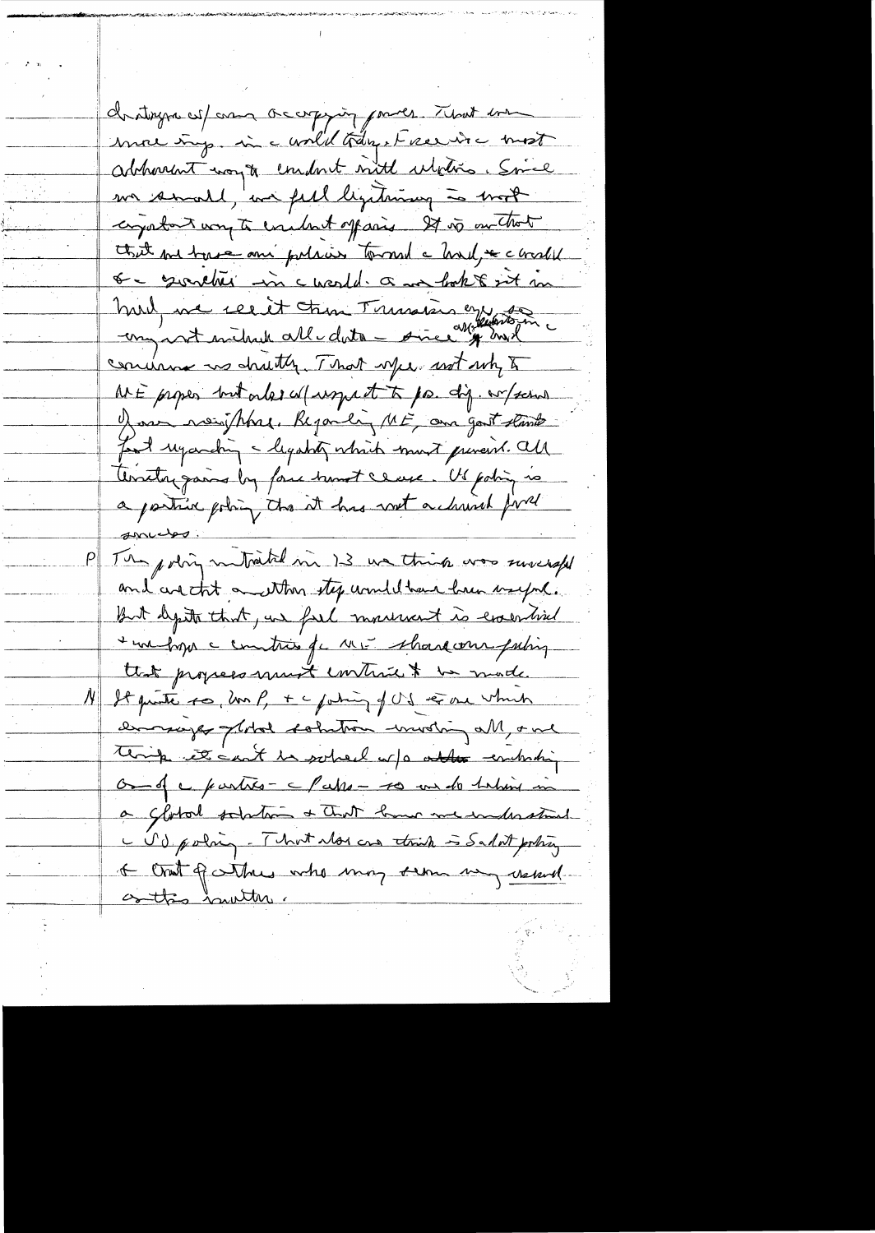christique est and accorporing power. That we more imp. in a world tranget recent a most abhorront woy to emport with ulphis. Since me small, we fell legitimay is most capaton voy to evadent offasis 27 vo on that that me base and polices toward a holf to chall <u>o e surcher in cuesta a ma hok to set m</u> hul, me recit tron Trussis en 18 concinna us chutty. That yes not up to At E proper but order a (uspect to pa. dig. w/school have now that. Regardly ME, and good stands Food ugarding - legatity which must prevent. all Anatograms by four hunt ceuse. Us point is a partire policy the it has not a church fire spectos  $P\|$ The policy mutrated in 13 we think was surespel and are that and then step unule have have useful. But depite that, we feel movement is evaluated I me hyp a contrat for ME share our futing that propers must contrain to mode. It quite so, un P, + c pating of US et one which emmarger plotal solution wurding all, one think it can't be sobred or a able emboding On of c parties - c Pakes - to me do taking in a Global solution & that home me inderstand C V & policy - That alors can think is Sadat policy I crat of why who may seem un usual osttis huuttu.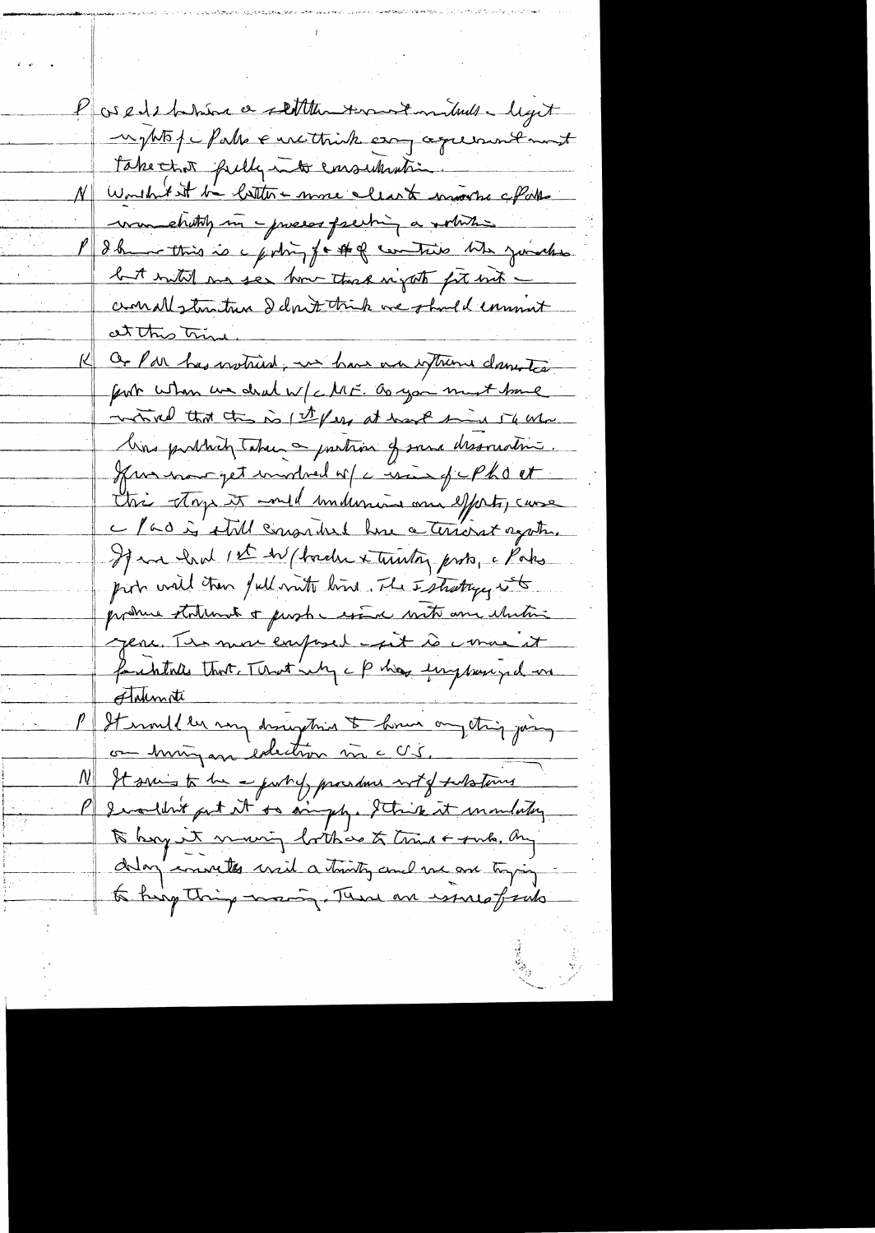P os edit takén a settlem terment mitude ligit nyttof hals & methink erong agreement take that fully into emsularitie N Worthist in bottom more clear to moveme affaith was chitaty in - process faciting a solution I I have this is a policy for that contains the younghes but with me see how that night for mit comallytimities I don't trick are that I comment at this tring Or Par has instrud, in have an interne dans tea fort when we deal w/c ME. as you must have which that the is (I fear at hart sind 54 Ma lins publich takes a partion of same dissourchine. Kurmar pet undred of circuit of cPho et this stop it and individua on efforts, case Mad is still consider here a terribat again. If we had 1st the forder & truston probe, a Paks pirt will then full with line. The Istrategy it prohue statement & people essai with and whiting jere. Tes mor emposed - pet le comme it faithfulls that That's My cphase implance and Flaunate It would be my draughing to home on thing joing on himigan edection me c V 5, It suis to be a purily provident with future I wouldn't put it to anythe Strik it mondatory to begut moing lothers to tring + sub. By delay converts will a truty and me are trying to king thing many. There are issues freels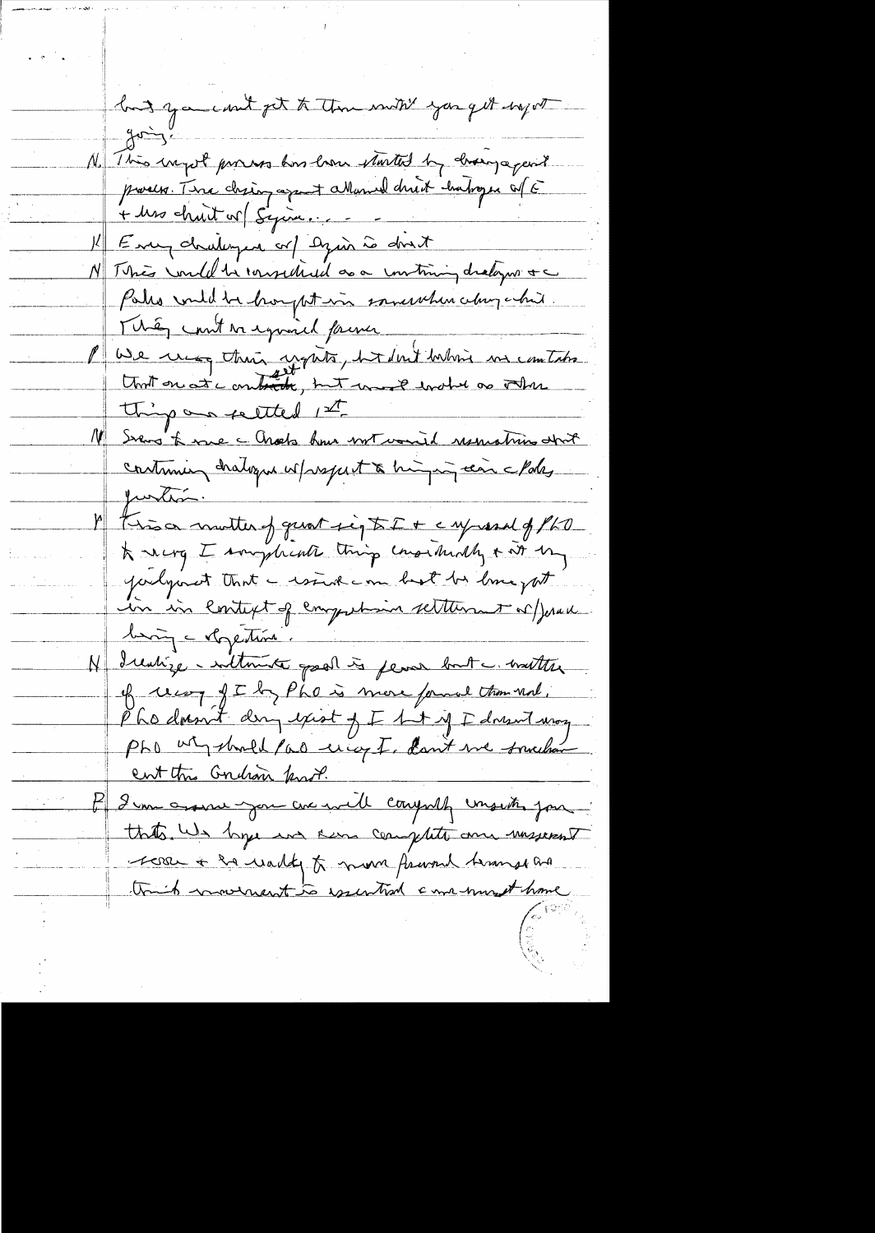hand you could get to them with you get ingot  $40 - 3$ No This injust proves has how started by drowing a paint pour Tire chien aprent attenue druit habores of E + Ms chuit v (Syria.... Every dralinger or ) Dyin is don't N This wild be considered as a contining dralogue & c Pales wild be hought in somewhere change his. They count a equinced former We use their upits, but but when in comtato that on at combitte, but une planched as other thing on settled 1st 11 Seens to me a Chock how not varied reservations about continuir chalogue w/respect à higir can clare funtion. This a motter of quat sig to I + c ny assal of PLO \* nerg I sougheath thing conschedly + at by judgement that a wind can bet be love put in in lontext of emportance settlement or prove bing - vlogentime. N Irentize - sultante good is fear but a watter of un fthe is more found them not. Phodosont day exist of I hat if I doesn't way PhD un should fad unicy I, don't we somether ent this Gridson fand. I'm assure you are well compute unsite jour. that's We hope and seem complete and masserent reserve the wally to move from themselve think movement to essential came must have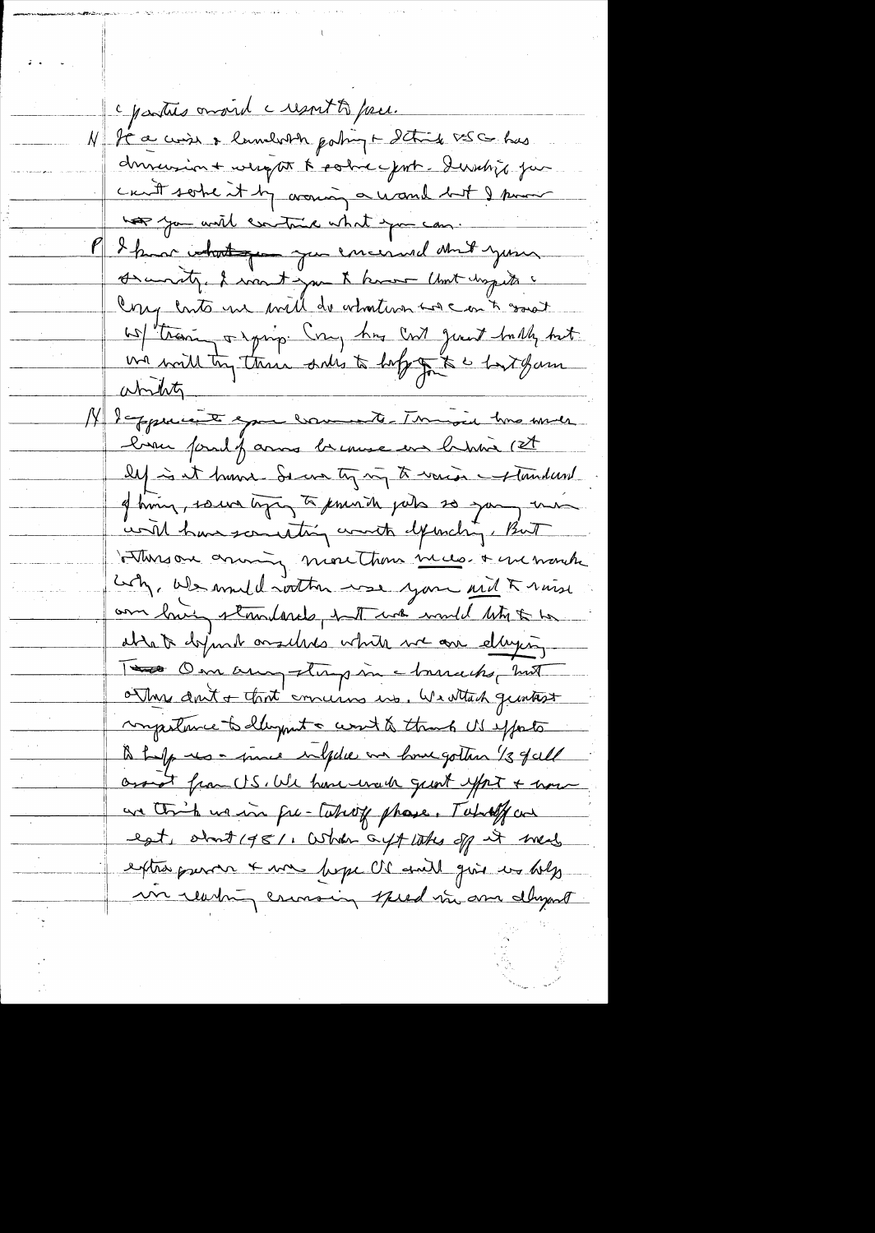c parties omand a respont to prece. It a wish & lamboth poling + Itting x=5 co has duranion + weapon & police put. Dernbijk ja can't some it by around a wand but I pour has you will contain what you can. I know what you are encound and your Arcuraty, I want you & know that day to Ony conto me will do whatever we can't good we train a range try has cont just butter hat un will try these sales to hope to a fort game abrity lappearant epour comments. This one while bran found farmes breause en brance (et les it huma Secrety in to ward of tundard of him, source type, to know the jude so you, me world have sceneting worth defending, But There are money more than mace. + we wonde Cop, We would within use your and Kniss or lowing standards, hat was would like to be able to definite on allows white we are elliging. Tes On any stup in churchs, huit competence to dayment a coast & thank US efforts to holp us - muce inleder an home gotten 13 fall arond from U.S. We have evale great effect & more we think we in fix-taking phase. Taking an eat, about 1981, When a ft like off it wed extra puron + was loope Or and give us help un reading counsing speed in ome alward